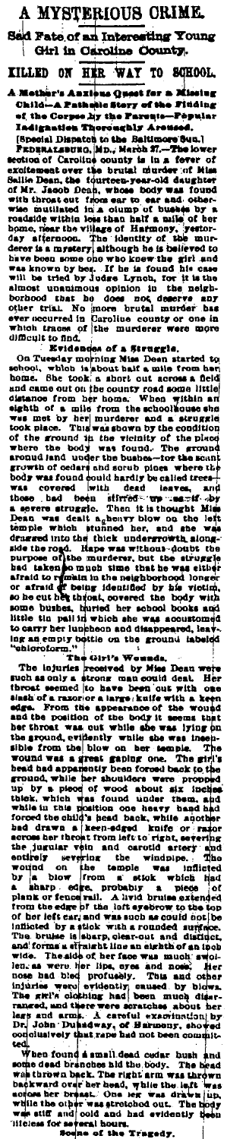A MYSTERIOUS CRIME. Sad Fate of an Interesting Young Girl in Caroline County. TO SCHOOL HER WAY

A meshera and MAI TO SORROOL, and MAI TO SORROOL, A meshera and Mail to a mesh of the Greenwork of the Press Press Press Press Press Press Press Press Press Press Press Press Press Press Press Press Press Press Press Pres

ted.<br>
When found a small dead cedar bush and<br>
when found bandbes hid the body. The head<br>
was thrown back. The right arm was thrown<br>
backward over head, while the laft was<br>
scopes her break. One lev was drawn into<br>
while th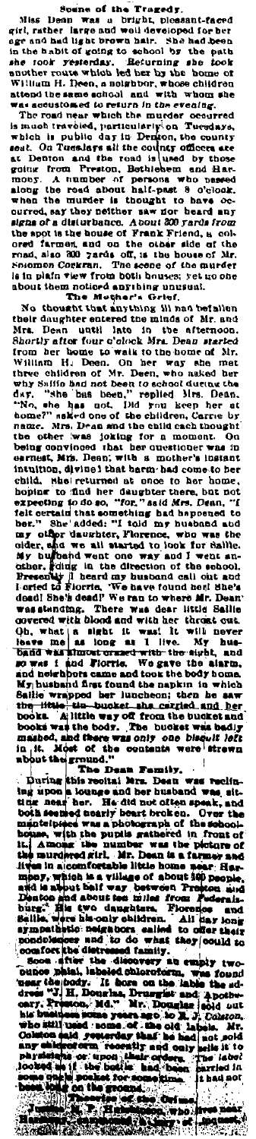Since of the Transformation of the Fargoity. The same of the transformation of the Transformation of the Bability and the same of the same of the same of the same of the same of the same of the same of the same of the sam